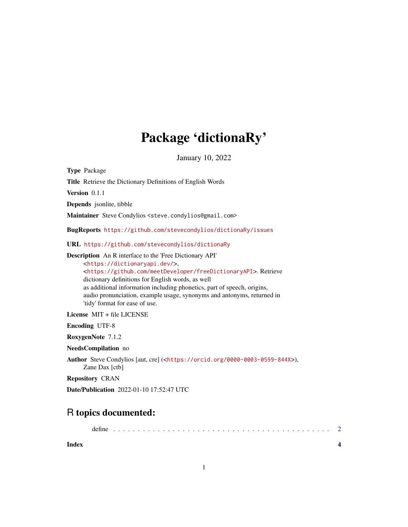## Package 'dictionaRy'

January 10, 2022

Type Package

Title Retrieve the Dictionary Definitions of English Words

Version 0.1.1

Depends jsonlite, tibble

Maintainer Steve Condylios <steve.condylios@gmail.com>

BugReports <https://github.com/stevecondylios/dictionaRy/issues>

URL <https://github.com/stevecondylios/dictionaRy>

Description An R interface to the 'Free Dictionary API'

<<https://dictionaryapi.dev/>>, <<https://github.com/meetDeveloper/freeDictionaryAPI>>. Retrieve dictionary definitions for English words, as well as additional information including phonetics, part of speech, origins, audio pronunciation, example usage, synonyms and antonyms, returned in 'tidy' format for ease of use.

License MIT + file LICENSE

Encoding UTF-8

RoxygenNote 7.1.2

NeedsCompilation no

Author Steve Condylios [aut, cre] (<<https://orcid.org/0000-0003-0599-844X>>), Zane Dax [ctb]

Repository CRAN

Date/Publication 2022-01-10 17:52:47 UTC

### R topics documented:

**Index** [4](#page-3-0)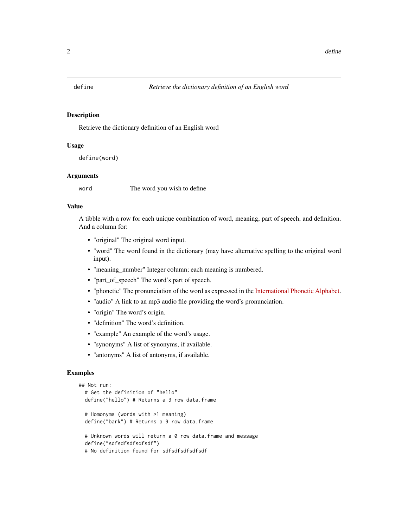<span id="page-1-0"></span>

#### Description

Retrieve the dictionary definition of an English word

#### Usage

```
define(word)
```
#### Arguments

word The word you wish to define

#### Value

A tibble with a row for each unique combination of word, meaning, part of speech, and definition. And a column for:

- "original" The original word input.
- "word" The word found in the dictionary (may have alternative spelling to the original word input).
- "meaning\_number" Integer column; each meaning is numbered.
- "part\_of\_speech" The word's part of speech.
- "phonetic" The pronunciation of the word as expressed in the [International Phonetic Alphabet.](https://www.ipachart.com/)
- "audio" A link to an mp3 audio file providing the word's pronunciation.
- "origin" The word's origin.
- "definition" The word's definition.
- "example" An example of the word's usage.
- "synonyms" A list of synonyms, if available.
- "antonyms" A list of antonyms, if available.

#### Examples

```
## Not run:
# Get the definition of "hello"
define("hello") # Returns a 3 row data.frame
# Homonyms (words with >1 meaning)
define("bark") # Returns a 9 row data.frame
# Unknown words will return a 0 row data.frame and message
define("sdfsdfsdfsdfsdf")
```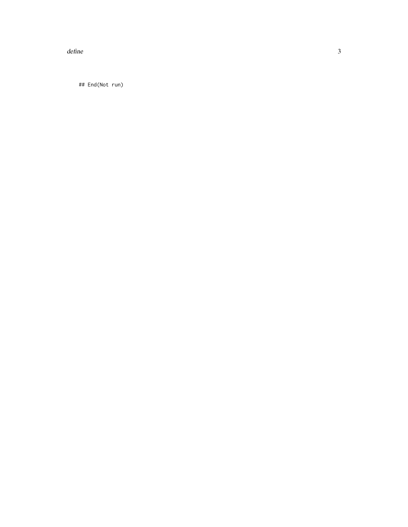$define$ 

## End(Not run)